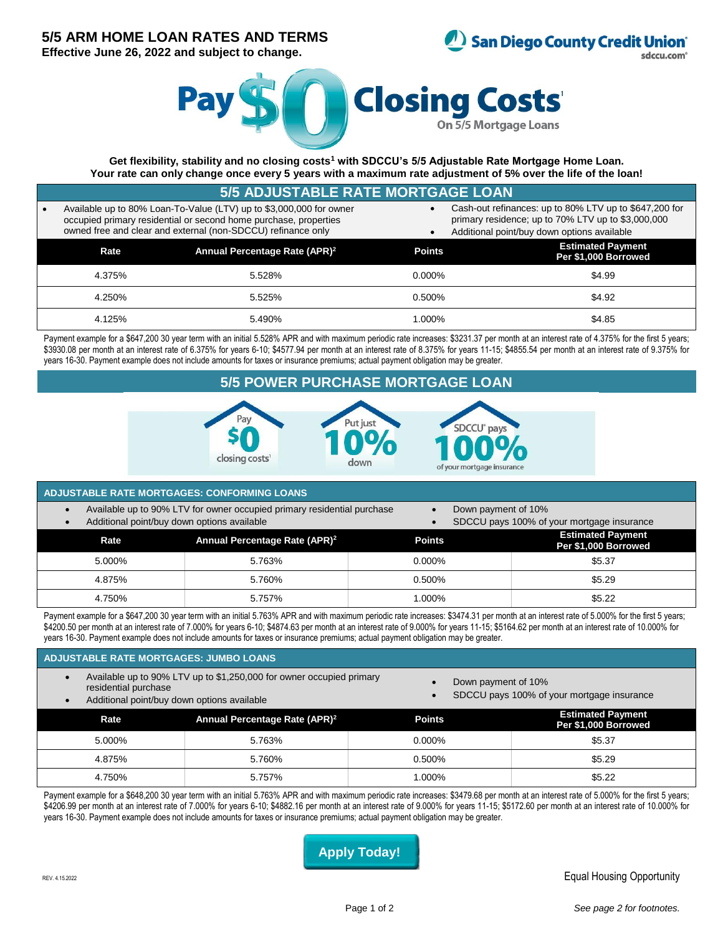# **5/5 ARM HOME LOAN RATES AND TERMS**

**Effective June 26, 2022 and subject to change.**



sdccu.com



**Get flexibility, stability and no closing costs<sup>1</sup> with SDCCU's 5/5 Adjustable Rate Mortgage Home Loan. Your rate can only change once every 5 years with a maximum rate adjustment of 5% over the life of the loan!**

| <b>5/5 ADJUSTABLE RATE MORTGAGE LOAN,</b>                                                                                                                                                               |                                           |               |                                                                                                                                                             |  |  |  |
|---------------------------------------------------------------------------------------------------------------------------------------------------------------------------------------------------------|-------------------------------------------|---------------|-------------------------------------------------------------------------------------------------------------------------------------------------------------|--|--|--|
| Available up to 80% Loan-To-Value (LTV) up to \$3,000,000 for owner<br>occupied primary residential or second home purchase, properties<br>owned free and clear and external (non-SDCCU) refinance only |                                           |               | Cash-out refinances: up to 80% LTV up to \$647,200 for<br>primary residence; up to 70% LTV up to \$3,000,000<br>Additional point/buy down options available |  |  |  |
| Rate                                                                                                                                                                                                    | Annual Percentage Rate (APR) <sup>2</sup> | <b>Points</b> | <b>Estimated Payment</b><br>Per \$1,000 Borrowed                                                                                                            |  |  |  |
| 4.375%                                                                                                                                                                                                  | 5.528%                                    | $0.000\%$     | \$4.99                                                                                                                                                      |  |  |  |
| 4.250%                                                                                                                                                                                                  | 5.525%                                    | $0.500\%$     | \$4.92                                                                                                                                                      |  |  |  |
| 4.125%                                                                                                                                                                                                  | 5.490%                                    | 1.000%        | \$4.85                                                                                                                                                      |  |  |  |

Payment example for a \$647,200 30 year term with an initial 5.528% APR and with maximum periodic rate increases: \$3231.37 per month at an interest rate of 4.375% for the first 5 years; \$3930.08 per month at an interest rate of 6.375% for years 6-10; \$4577.94 per month at an interest rate of 8.375% for years 11-15; \$4855.54 per month at an interest rate of 9.375% for years 16-30. Payment example does not include amounts for taxes or insurance premiums; actual payment obligation may be greater.

## **5/5 POWER PURCHASE MORTGAGE LOAN**



## **ADJUSTABLE RATE MORTGAGES: CONFORMING LOANS**

- Available up to 90% LTV for owner occupied primary residential purchase
	- Additional point/buy down options available
- Down payment of 10%
- SDCCU pays 100% of your mortgage insurance

| Rate   | Annual Percentage Rate (APR) <sup>2</sup> | <b>Points</b> | <b>Estimated Payment</b><br>Per \$1,000 Borrowed |
|--------|-------------------------------------------|---------------|--------------------------------------------------|
| 5.000% | 5.763%                                    | 0.000%        | \$5.37                                           |
| 4.875% | 5.760%                                    | 0.500%        | \$5.29                                           |
| 4.750% | 5.757%                                    | 1.000%        | \$5.22                                           |

Payment example for a \$647,200 30 year term with an initial 5.763% APR and with maximum periodic rate increases: \$3474.31 per month at an interest rate of 5.000% for the first 5 years; \$4200.50 per month at an interest rate of 7.000% for years 6-10; \$4874.63 per month at an interest rate of 9.000% for years 11-15; \$5164.62 per month at an interest rate of 10.000% for years 16-30. Payment example does not include amounts for taxes or insurance premiums; actual payment obligation may be greater.

## **ADJUSTABLE RATE MORTGAGES: JUMBO LOANS**

- Available up to 90% LTV up to \$1,250,000 for owner occupied primary residential purchase
- Additional point/buy down options available
- Down payment of 10%
- SDCCU pays 100% of your mortgage insurance

| Rate   | Annual Percentage Rate (APR) <sup>2</sup> | <b>Points</b> | <b>Estimated Payment</b><br>Per \$1,000 Borrowed |
|--------|-------------------------------------------|---------------|--------------------------------------------------|
| 5.000% | 5.763%                                    | 0.000%        | \$5.37                                           |
| 4.875% | 5.760%                                    | 0.500%        | \$5.29                                           |
| 4.750% | 5.757%                                    | $000\%$       | \$5.22                                           |

Payment example for a \$648,200 30 year term with an initial 5.763% APR and with maximum periodic rate increases: \$3479.68 per month at an interest rate of 5.000% for the first 5 years; \$4206.99 per month at an interest rate of 7.000% for years 6-10; \$4882.16 per month at an interest rate of 9.000% for years 11-15; \$5172.60 per month at an interest rate of 10.000% for years 16-30. Payment example does not include amounts for taxes or insurance premiums; actual payment obligation may be greater.

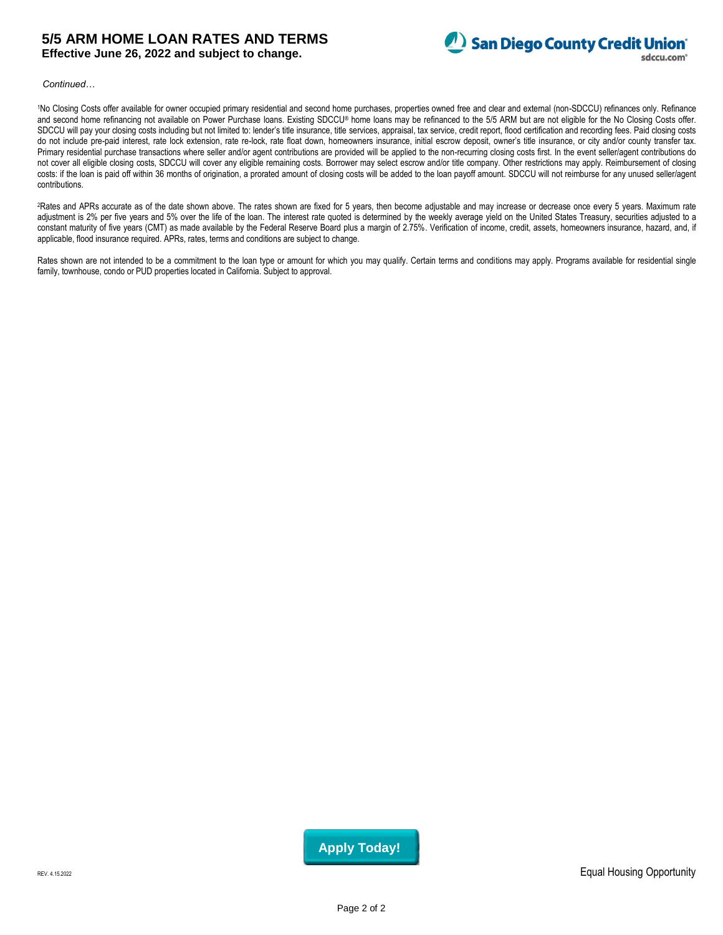## **5/5 ARM HOME LOAN RATES AND TERMS Effective June 26, 2022 and subject to change.**



*Continued…*

1No Closing Costs offer available for owner occupied primary residential and second home purchases, properties owned free and clear and external (non-SDCCU) refinances only. Refinance and second home refinancing not available on Power Purchase loans. Existing SDCCU® home loans may be refinanced to the 5/5 ARM but are not eligible for the No Closing Costs offer. SDCCU will pay your closing costs including but not limited to: lender's title insurance, title services, appraisal, tax service, credit report, flood certification and recording fees. Paid closing costs do not include pre-paid interest, rate lock extension, rate re-lock, rate float down, homeowners insurance, initial escrow deposit, owner's title insurance, or city and/or county transfer tax. Primary residential purchase transactions where seller and/or agent contributions are provided will be applied to the non-recurring closing costs first. In the event seller/agent contributions do not cover all eligible closing costs, SDCCU will cover any eligible remaining costs. Borrower may select escrow and/or title company. Other restrictions may apply. Reimbursement of closing costs: if the loan is paid off within 36 months of origination, a prorated amount of closing costs will be added to the loan payoff amount. SDCCU will not reimburse for any unused seller/agent contributions.

<sup>2</sup>Rates and APRs accurate as of the date shown above. The rates shown are fixed for 5 years, then become adjustable and may increase or decrease once every 5 years. Maximum rate adjustment is 2% per five years and 5% over the life of the loan. The interest rate quoted is determined by the weekly average yield on the United States Treasury, securities adjusted to a constant maturity of five years (CMT) as made available by the Federal Reserve Board plus a margin of 2.75%. Verification of income, credit, assets, homeowners insurance, hazard, and, if applicable, flood insurance required. APRs, rates, terms and conditions are subject to change.

Rates shown are not intended to be a commitment to the loan type or amount for which you may qualify. Certain terms and conditions may apply. Programs available for residential single family, townhouse, condo or PUD properties located in California. Subject to approval.

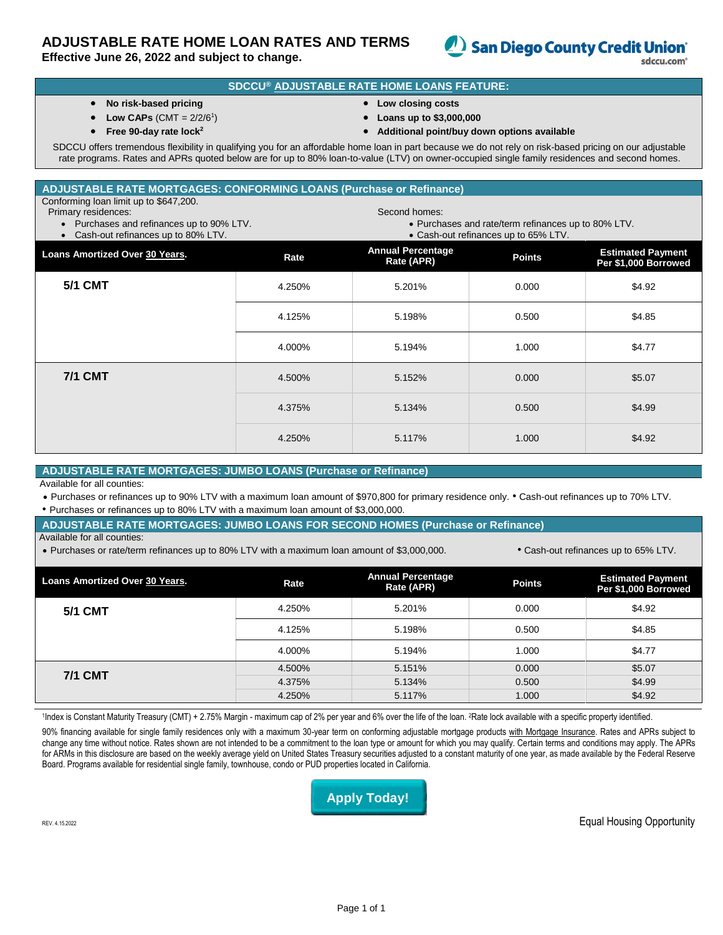# **ADJUSTABLE RATE HOME LOAN RATES AND TERMS**

**Effective June 26, 2022 and subject to change.**



## **SDCCU® ADJUSTABLE RATE HOME LOANS FEATURE:**

- **No risk-based pricing**
- Low CAPs  $(CMT = 2/2/6^1)$
- **Free 90-day rate lock<sup>2</sup>**
- **Low closing costs**
- **Loans up to \$3,000,000**
- **Additional point/buy down options available**

SDCCU offers tremendous flexibility in qualifying you for an affordable home loan in part because we do not rely on risk-based pricing on our adjustable rate programs. Rates and APRs quoted below are for up to 80% loan-to-value (LTV) on owner-occupied single family residences and second homes.

## **ADJUSTABLE RATE MORTGAGES: CONFORMING LOANS (Purchase or Refinance)**

Conforming loan limit up to \$647,200.

- Primary residences:
	- Purchases and refinances up to 90% LTV.
- Second homes:

Cash-out refinances up to 80% LTV.

| . |  |  |                     |
|---|--|--|---------------------|
|   |  |  | $\bullet$ Purchases |

and rate/term refinances up to 80% LTV. Cash-out refinances up to 65% LTV.

| Loans Amortized Over 30 Years. | Rate   | <b>Annual Percentage</b><br>Rate (APR) | <b>Points</b> | <b>Estimated Payment</b><br>Per \$1,000 Borrowed |
|--------------------------------|--------|----------------------------------------|---------------|--------------------------------------------------|
| <b>5/1 CMT</b>                 | 4.250% | 5.201%                                 | 0.000         | \$4.92                                           |
|                                | 4.125% | 5.198%                                 | 0.500         | \$4.85                                           |
|                                | 4.000% | 5.194%                                 | 1.000         | \$4.77                                           |
| <b>7/1 CMT</b>                 | 4.500% | 5.152%                                 | 0.000         | \$5.07                                           |
|                                | 4.375% | 5.134%                                 | 0.500         | \$4.99                                           |
|                                | 4.250% | 5.117%                                 | 1.000         | \$4.92                                           |

## **ADJUSTABLE RATE MORTGAGES: JUMBO LOANS (Purchase or Refinance)**

Available for all counties:

 Purchases or refinances up to 90% LTV with a maximum loan amount of \$970,800 for primary residence only. • Cash-out refinances up to 70% LTV. • Purchases or refinances up to 80% LTV with a maximum loan amount of \$3,000,000.

## **ADJUSTABLE RATE MORTGAGES: JUMBO LOANS FOR SECOND HOMES (Purchase or Refinance)**

Available for all counties:

• Purchases or rate/term refinances up to 80% LTV with a maximum loan amount of \$3,000,000. • Cash-out refinances up to 65% LTV.

| <b>Loans Amortized Over 30 Years.</b> | Rate   | <b>Annual Percentage</b><br>Rate (APR) | <b>Points</b> | <b>Estimated Payment</b><br>Per \$1,000 Borrowed |
|---------------------------------------|--------|----------------------------------------|---------------|--------------------------------------------------|
| <b>5/1 CMT</b>                        | 4.250% | 5.201%                                 | 0.000         | \$4.92                                           |
|                                       | 4.125% | 5.198%                                 | 0.500         | \$4.85                                           |
|                                       | 4.000% | 5.194%                                 | 1.000         | \$4.77                                           |
|                                       | 4.500% | 5.151%                                 | 0.000         | \$5.07                                           |
| <b>7/1 CMT</b>                        | 4.375% | 5.134%                                 | 0.500         | \$4.99                                           |
|                                       | 4.250% | 5.117%                                 | 1.000         | \$4.92                                           |

1Index is Constant Maturity Treasury (CMT) + 2.75% Margin - maximum cap of 2% per year and 6% over the life of the loan. <sup>2</sup>Rate lock available with a specific property identified.

90% financing available for single family residences only with a maximum 30-year term on conforming adjustable mortgage products with Mortgage Insurance. Rates and APRs subject to change any time without notice. Rates shown are not intended to be a commitment to the loan type or amount for which you may qualify. Certain terms and conditions may apply. The APRs for ARMs in this disclosure are based on the weekly average yield on United States Treasury securities adjusted to a constant maturity of one year, as made available by the Federal Reserve Board. Programs available for residential single family, townhouse, condo or PUD properties located in California.

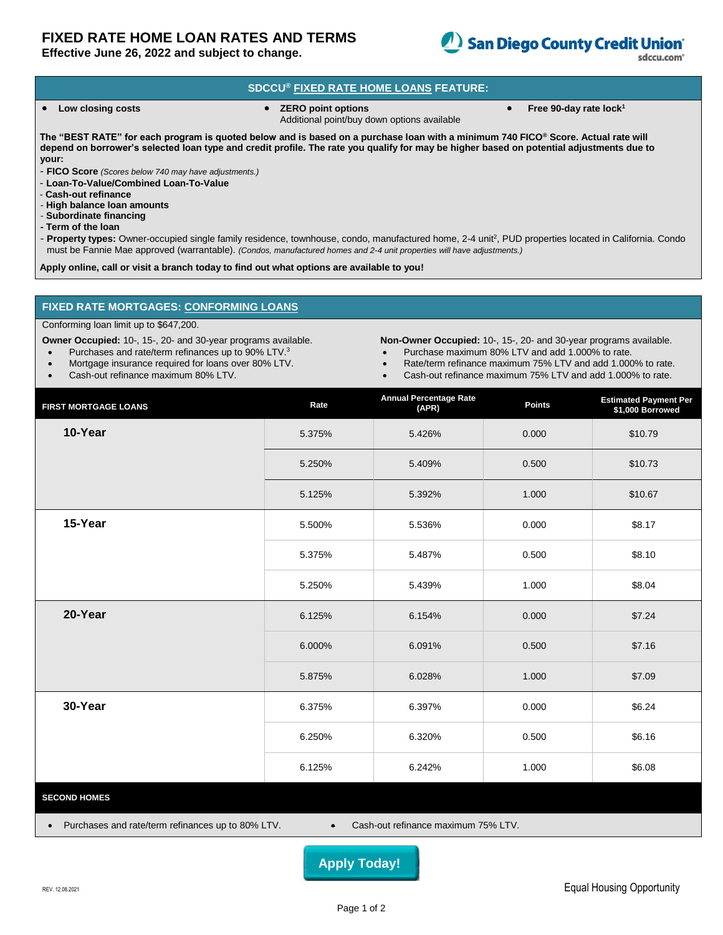# **FIXED RATE HOME LOAN RATES AND TERMS**

**Effective June 26, 2022 and subject to change.**



sdccu.com<sup>®</sup>

### **SDCCU® FIXED RATE HOME LOANS FEATURE:**

- - **Low closing costs ZERO point options** Additional point/buy down options available
- **Free 90-day rate lock<sup>1</sup>**

**The "BEST RATE" for each program is quoted below and is based on a purchase loan with a minimum 740 FICO® Score. Actual rate will depend on borrower's selected loan type and credit profile. The rate you qualify for may be higher based on potential adjustments due to your:**

- **FICO Score** *(Scores below 740 may have adjustments.)*

- **Loan-To-Value/Combined Loan-To-Value**
- **Cash-out refinance**
- **High balance loan amounts**
- **Subordinate financing**
- **- Term of the loan**

- Property types: Owner-occupied single family residence, townhouse, condo, manufactured home, 2-4 unit<sup>2</sup>, PUD properties located in California. Condo must be Fannie Mae approved (warrantable). *(Condos, manufactured homes and 2-4 unit properties will have adjustments.)*

**Apply online, call or visit a branch today to find out what options are available to you!**

#### **FIXED RATE MORTGAGES: CONFORMING LOANS**

#### Conforming loan limit up to \$647,200.

**Owner Occupied:** 10-, 15-, 20- and 30-year programs available.

- Purchases and rate/term refinances up to 90% LTV.<sup>3</sup>
- Mortgage insurance required for loans over 80% LTV.
- Cash-out refinance maximum 80% LTV.
- **Non-Owner Occupied:** 10-, 15-, 20- and 30-year programs available.
- Purchase maximum 80% LTV and add 1.000% to rate.
- Rate/term refinance maximum 75% LTV and add 1.000% to rate.
- Cash-out refinance maximum 75% LTV and add 1.000% to rate.

| <b>FIRST MORTGAGE LOANS</b>                                                                                        | Rate   | <b>Annual Percentage Rate</b><br>(APR) | Points | <b>Estimated Payment Per<br/>\$1,000 Borrowed</b> |  |
|--------------------------------------------------------------------------------------------------------------------|--------|----------------------------------------|--------|---------------------------------------------------|--|
| 10-Year                                                                                                            | 5.375% | 5.426%                                 | 0.000  | \$10.79                                           |  |
|                                                                                                                    | 5.250% | 5.409%                                 | 0.500  | \$10.73                                           |  |
|                                                                                                                    | 5.125% | 5.392%                                 | 1.000  | \$10.67                                           |  |
| 15-Year                                                                                                            | 5.500% | 5.536%                                 | 0.000  | \$8.17                                            |  |
|                                                                                                                    | 5.375% | 5.487%                                 | 0.500  | \$8.10                                            |  |
|                                                                                                                    | 5.250% | 5.439%                                 | 1.000  | \$8.04                                            |  |
| 20-Year                                                                                                            | 6.125% | 6.154%                                 | 0.000  | \$7.24                                            |  |
|                                                                                                                    | 6.000% | 6.091%                                 | 0.500  | \$7.16                                            |  |
|                                                                                                                    | 5.875% | 6.028%                                 | 1.000  | \$7.09                                            |  |
| 30-Year                                                                                                            | 6.375% | 6.397%                                 | 0.000  | \$6.24                                            |  |
|                                                                                                                    | 6.250% | 6.320%                                 | 0.500  | \$6.16                                            |  |
|                                                                                                                    | 6.125% | 6.242%                                 | 1.000  | \$6.08                                            |  |
| <b>SECOND HOMES</b>                                                                                                |        |                                        |        |                                                   |  |
| Purchases and rate/term refinances up to 80% LTV.<br>Cash-out refinance maximum 75% LTV.<br>$\bullet$<br>$\bullet$ |        |                                        |        |                                                   |  |